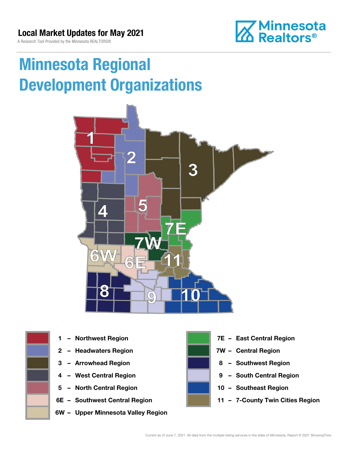A Research Tool Provided by the Minnesota REALTORS®



# Minnesota Regional Development Organizations





- 
- 
- 
- 
- 5 North Central Region 10 Southeast Region
- 
- 6W Upper Minnesota Valley Region



- 1 Northwest Region **1 1999 12 Property Contral Region**
- 2 Headwaters Region **1988 7W Central Region**
- 3 Arrowhead Region **8 Southwest Region**
- 4 West Central Region **19 South Central Region** 
	-
- 6E Southwest Central Region **11 7-County Twin Cities Region**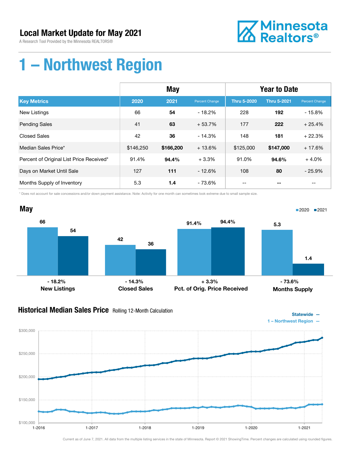A Research Tool Provided by the Minnesota REALTORS®



## 1 – Northwest Region

|                                          | <b>May</b> |           |                | <b>Year to Date</b> |                    |                |
|------------------------------------------|------------|-----------|----------------|---------------------|--------------------|----------------|
| <b>Key Metrics</b>                       | 2020       | 2021      | Percent Change | <b>Thru 5-2020</b>  | <b>Thru 5-2021</b> | Percent Change |
| <b>New Listings</b>                      | 66         | 54        | $-18.2%$       | 228                 | 192                | $-15.8%$       |
| <b>Pending Sales</b>                     | 41         | 63        | $+53.7%$       | 177                 | 222                | $+25.4%$       |
| <b>Closed Sales</b>                      | 42         | 36        | $-14.3%$       | 148                 | 181                | $+22.3%$       |
| Median Sales Price*                      | \$146,250  | \$166,200 | $+13.6%$       | \$125,000           | \$147,000          | $+17.6%$       |
| Percent of Original List Price Received* | 91.4%      | 94.4%     | $+3.3%$        | 91.0%               | 94.6%              | $+4.0%$        |
| Days on Market Until Sale                | 127        | 111       | $-12.6%$       | 108                 | 80                 | $-25.9%$       |
| Months Supply of Inventory               | 5.3        | 1.4       | - 73.6%        |                     |                    |                |

\* Does not account for sale concessions and/or down payment assistance. Note: Activity for one month can sometimes look extreme due to small sample size.



#### **Historical Median Sales Price** Rolling 12-Month Calculation

Statewide —

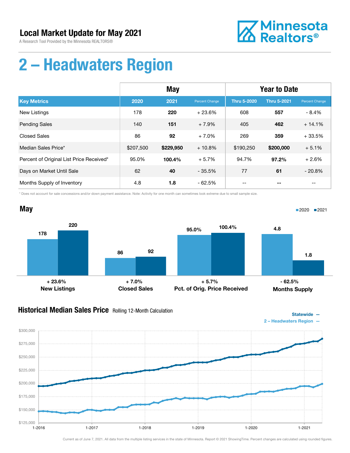A Research Tool Provided by the Minnesota REALTORS®



## 2 – Headwaters Region

|                                          | <b>May</b> |           |                | <b>Year to Date</b> |                    |                |
|------------------------------------------|------------|-----------|----------------|---------------------|--------------------|----------------|
| <b>Key Metrics</b>                       | 2020       | 2021      | Percent Change | <b>Thru 5-2020</b>  | <b>Thru 5-2021</b> | Percent Change |
| <b>New Listings</b>                      | 178        | 220       | $+23.6%$       | 608                 | 557                | $-8.4%$        |
| <b>Pending Sales</b>                     | 140        | 151       | $+7.9%$        | 405                 | 462                | $+14.1%$       |
| <b>Closed Sales</b>                      | 86         | 92        | $+7.0%$        | 269                 | 359                | $+33.5%$       |
| Median Sales Price*                      | \$207,500  | \$229,950 | $+10.8%$       | \$190,250           | \$200,000          | $+5.1%$        |
| Percent of Original List Price Received* | 95.0%      | 100.4%    | $+5.7%$        | 94.7%               | 97.2%              | $+2.6%$        |
| Days on Market Until Sale                | 62         | 40        | $-35.5%$       | 77                  | 61                 | $-20.8%$       |
| Months Supply of Inventory               | 4.8        | 1.8       | $-62.5%$       |                     |                    |                |

\* Does not account for sale concessions and/or down payment assistance. Note: Activity for one month can sometimes look extreme due to small sample size.

#### May 178 86 220 92 New Listings Closed Sales 95.0% 100.4% Pct. of Orig. Price Received 4.8 1.8 Months Supply ■2020 2021  $+ 23.6\%$  -  $+ 7.0\%$  -  $+ 5.7\%$  -  $- 62.5\%$

#### Historical Median Sales Price Rolling 12-Month Calculation



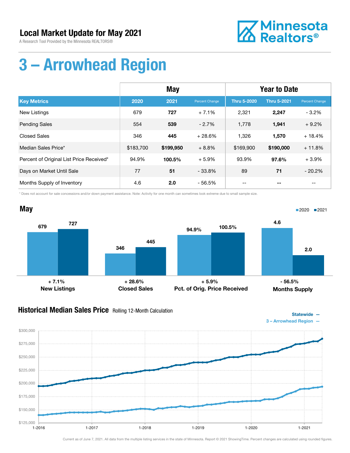A Research Tool Provided by the Minnesota REALTORS®



## 3 – Arrowhead Region

|                                          | <b>May</b> |           |                | <b>Year to Date</b> |                    |                |
|------------------------------------------|------------|-----------|----------------|---------------------|--------------------|----------------|
| <b>Key Metrics</b>                       | 2020       | 2021      | Percent Change | <b>Thru 5-2020</b>  | <b>Thru 5-2021</b> | Percent Change |
| <b>New Listings</b>                      | 679        | 727       | $+7.1%$        | 2,321               | 2,247              | $-3.2%$        |
| <b>Pending Sales</b>                     | 554        | 539       | $-2.7%$        | 1,778               | 1,941              | $+9.2%$        |
| <b>Closed Sales</b>                      | 346        | 445       | $+28.6%$       | 1,326               | 1,570              | $+18.4%$       |
| Median Sales Price*                      | \$183,700  | \$199,950 | $+8.8%$        | \$169,900           | \$190,000          | $+11.8%$       |
| Percent of Original List Price Received* | 94.9%      | 100.5%    | $+5.9%$        | 93.9%               | 97.6%              | $+3.9%$        |
| Days on Market Until Sale                | 77         | 51        | $-33.8%$       | 89                  | 71                 | $-20.2%$       |
| Months Supply of Inventory               | 4.6        | 2.0       | - 56.5%        |                     |                    | --             |

\* Does not account for sale concessions and/or down payment assistance. Note: Activity for one month can sometimes look extreme due to small sample size.



#### **Historical Median Sales Price** Rolling 12-Month Calculation



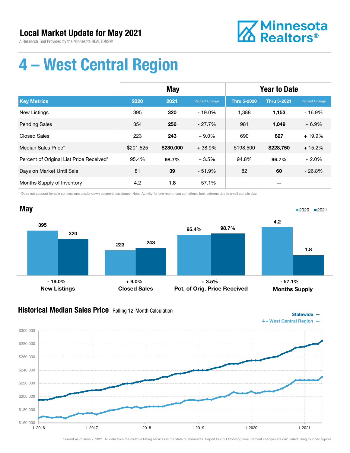A Research Tool Provided by the Minnesota REALTORS®



## 4 – West Central Region

|                                          | <b>May</b> |           |                | <b>Year to Date</b> |                    |                |
|------------------------------------------|------------|-----------|----------------|---------------------|--------------------|----------------|
| <b>Key Metrics</b>                       | 2020       | 2021      | Percent Change | <b>Thru 5-2020</b>  | <b>Thru 5-2021</b> | Percent Change |
| <b>New Listings</b>                      | 395        | 320       | $-19.0\%$      | 1,388               | 1,153              | $-16.9%$       |
| <b>Pending Sales</b>                     | 354        | 256       | $-27.7%$       | 981                 | 1,049              | $+6.9%$        |
| <b>Closed Sales</b>                      | 223        | 243       | $+9.0%$        | 690                 | 827                | + 19.9%        |
| Median Sales Price*                      | \$201,525  | \$280,000 | $+38.9%$       | \$198,500           | \$228,750          | $+15.2%$       |
| Percent of Original List Price Received* | 95.4%      | 98.7%     | $+3.5%$        | 94.8%               | 96.7%              | $+2.0%$        |
| Days on Market Until Sale                | 81         | 39        | $-51.9%$       | 82                  | 60                 | $-26.8%$       |
| Months Supply of Inventory               | 4.2        | 1.8       | $-57.1%$       | --                  |                    | --             |

\* Does not account for sale concessions and/or down payment assistance. Note: Activity for one month can sometimes look extreme due to small sample size.



### Historical Median Sales Price Rolling 12-Month Calculation



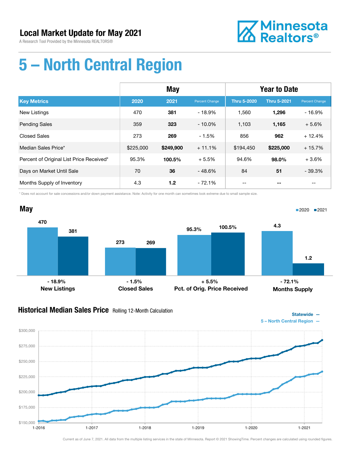A Research Tool Provided by the Minnesota REALTORS®



# 5 – North Central Region

|                                          | <b>May</b> |           |                | <b>Year to Date</b> |                    |                       |
|------------------------------------------|------------|-----------|----------------|---------------------|--------------------|-----------------------|
| <b>Key Metrics</b>                       | 2020       | 2021      | Percent Change | <b>Thru 5-2020</b>  | <b>Thru 5-2021</b> | <b>Percent Change</b> |
| New Listings                             | 470        | 381       | $-18.9\%$      | 1,560               | 1,296              | $-16.9%$              |
| <b>Pending Sales</b>                     | 359        | 323       | $-10.0\%$      | 1,103               | 1,165              | $+5.6%$               |
| <b>Closed Sales</b>                      | 273        | 269       | $-1.5%$        | 856                 | 962                | $+12.4%$              |
| Median Sales Price*                      | \$225,000  | \$249,900 | $+11.1%$       | \$194,450           | \$225,000          | $+15.7%$              |
| Percent of Original List Price Received* | 95.3%      | 100.5%    | $+5.5%$        | 94.6%               | 98.0%              | $+3.6%$               |
| Days on Market Until Sale                | 70         | 36        | $-48.6%$       | 84                  | 51                 | $-39.3%$              |
| Months Supply of Inventory               | 4.3        | 1.2       | $-72.1%$       | --                  |                    | --                    |

\* Does not account for sale concessions and/or down payment assistance. Note: Activity for one month can sometimes look extreme due to small sample size.



### Historical Median Sales Price Rolling 12-Month Calculation



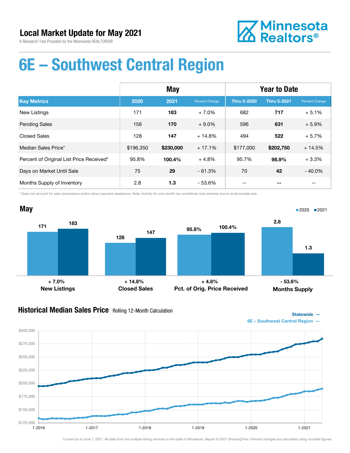A Research Tool Provided by the Minnesota REALTORS®



## 6E – Southwest Central Region

|                                          | <b>May</b> |           |                | <b>Year to Date</b> |                    |                |
|------------------------------------------|------------|-----------|----------------|---------------------|--------------------|----------------|
| <b>Key Metrics</b>                       | 2020       | 2021      | Percent Change | <b>Thru 5-2020</b>  | <b>Thru 5-2021</b> | Percent Change |
| <b>New Listings</b>                      | 171        | 183       | $+7.0%$        | 682                 | 717                | $+5.1%$        |
| <b>Pending Sales</b>                     | 156        | 170       | $+9.0%$        | 596                 | 631                | $+5.9%$        |
| <b>Closed Sales</b>                      | 128        | 147       | $+14.8%$       | 494                 | 522                | $+5.7%$        |
| Median Sales Price*                      | \$196,350  | \$230,000 | $+17.1%$       | \$177,000           | \$202,750          | $+14.5%$       |
| Percent of Original List Price Received* | 95.8%      | 100.4%    | $+4.8%$        | 95.7%               | 98.9%              | $+3.3%$        |
| Days on Market Until Sale                | 75         | 29        | $-61.3%$       | 70                  | 42                 | $-40.0\%$      |
| Months Supply of Inventory               | 2.8        | 1.3       | - 53.6%        | --                  |                    | --             |

\* Does not account for sale concessions and/or down payment assistance. Note: Activity for one month can sometimes look extreme due to small sample size.



### Historical Median Sales Price Rolling 12-Month Calculation



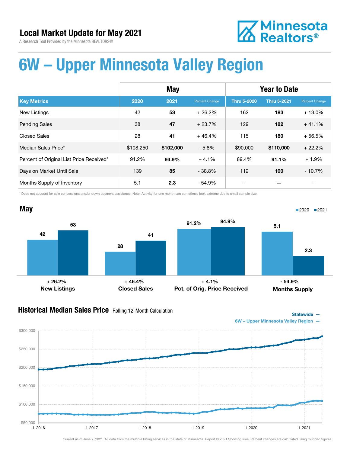**Z** Minnesota<br>**ZA** Realtors<sup>®</sup>

A Research Tool Provided by the Minnesota REALTORS®

## 6W – Upper Minnesota Valley Region

|                                          | <b>May</b> |           |                | <b>Year to Date</b> |                    |                |
|------------------------------------------|------------|-----------|----------------|---------------------|--------------------|----------------|
| <b>Key Metrics</b>                       | 2020       | 2021      | Percent Change | <b>Thru 5-2020</b>  | <b>Thru 5-2021</b> | Percent Change |
| <b>New Listings</b>                      | 42         | 53        | $+26.2%$       | 162                 | 183                | $+13.0%$       |
| <b>Pending Sales</b>                     | 38         | 47        | $+23.7%$       | 129                 | 182                | $+41.1%$       |
| <b>Closed Sales</b>                      | 28         | 41        | $+46.4%$       | 115                 | 180                | $+56.5%$       |
| Median Sales Price*                      | \$108,250  | \$102,000 | $-5.8%$        | \$90,000            | \$110,000          | $+22.2%$       |
| Percent of Original List Price Received* | 91.2%      | 94.9%     | $+4.1%$        | 89.4%               | 91.1%              | $+1.9%$        |
| Days on Market Until Sale                | 139        | 85        | $-38.8%$       | 112                 | 100                | $-10.7%$       |
| Months Supply of Inventory               | 5.1        | 2.3       | $-54.9%$       |                     |                    | --             |

\* Does not account for sale concessions and/or down payment assistance. Note: Activity for one month can sometimes look extreme due to small sample size.



### Historical Median Sales Price Rolling 12-Month Calculation



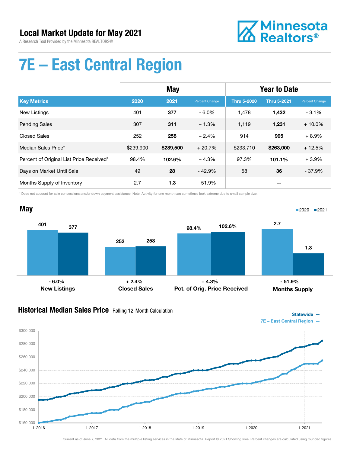A Research Tool Provided by the Minnesota REALTORS®



Statewide —

# 7E – East Central Region

|                                          | <b>May</b> |           |                | <b>Year to Date</b> |                    |                |
|------------------------------------------|------------|-----------|----------------|---------------------|--------------------|----------------|
| <b>Key Metrics</b>                       | 2020       | 2021      | Percent Change | <b>Thru 5-2020</b>  | <b>Thru 5-2021</b> | Percent Change |
| <b>New Listings</b>                      | 401        | 377       | $-6.0%$        | 1,478               | 1,432              | $-3.1%$        |
| <b>Pending Sales</b>                     | 307        | 311       | $+1.3%$        | 1,119               | 1,231              | $+10.0\%$      |
| <b>Closed Sales</b>                      | 252        | 258       | $+2.4%$        | 914                 | 995                | $+8.9%$        |
| Median Sales Price*                      | \$239,900  | \$289,500 | $+20.7%$       | \$233,710           | \$263,000          | $+12.5%$       |
| Percent of Original List Price Received* | 98.4%      | 102.6%    | $+4.3%$        | 97.3%               | 101.1%             | $+3.9%$        |
| Days on Market Until Sale                | 49         | 28        | $-42.9%$       | 58                  | 36                 | $-37.9%$       |
| Months Supply of Inventory               | 2.7        | 1.3       | - 51.9%        |                     |                    |                |

\* Does not account for sale concessions and/or down payment assistance. Note: Activity for one month can sometimes look extreme due to small sample size.



#### **Historical Median Sales Price** Rolling 12-Month Calculation

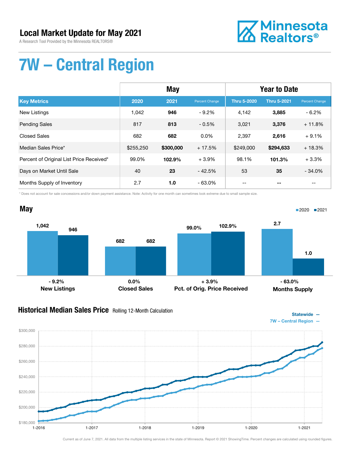A Research Tool Provided by the Minnesota REALTORS®



## 7W – Central Region

|                                          | <b>May</b> |           |                | <b>Year to Date</b> |                    |                |
|------------------------------------------|------------|-----------|----------------|---------------------|--------------------|----------------|
| <b>Key Metrics</b>                       | 2020       | 2021      | Percent Change | <b>Thru 5-2020</b>  | <b>Thru 5-2021</b> | Percent Change |
| <b>New Listings</b>                      | 1.042      | 946       | $-9.2%$        | 4,142               | 3,885              | $-6.2%$        |
| <b>Pending Sales</b>                     | 817        | 813       | $-0.5%$        | 3,021               | 3,376              | $+11.8%$       |
| <b>Closed Sales</b>                      | 682        | 682       | $0.0\%$        | 2,397               | 2,616              | $+9.1%$        |
| Median Sales Price*                      | \$255,250  | \$300,000 | $+17.5%$       | \$249,000           | \$294,633          | $+18.3%$       |
| Percent of Original List Price Received* | 99.0%      | 102.9%    | $+3.9%$        | 98.1%               | 101.3%             | $+3.3%$        |
| Days on Market Until Sale                | 40         | 23        | $-42.5%$       | 53                  | 35                 | $-34.0%$       |
| Months Supply of Inventory               | 2.7        | 1.0       | $-63.0%$       | --                  |                    | --             |

\* Does not account for sale concessions and/or down payment assistance. Note: Activity for one month can sometimes look extreme due to small sample size.



#### **Historical Median Sales Price** Rolling 12-Month Calculation



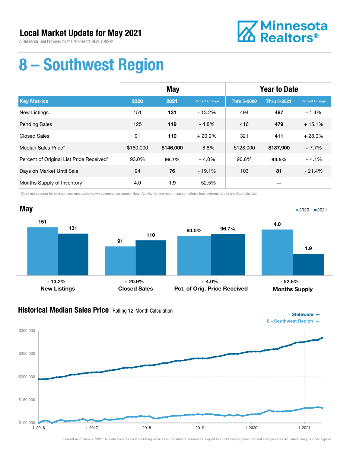A Research Tool Provided by the Minnesota REALTORS®



## 8 – Southwest Region

|                                          | <b>May</b> |           |                | <b>Year to Date</b> |                    |                |
|------------------------------------------|------------|-----------|----------------|---------------------|--------------------|----------------|
| <b>Key Metrics</b>                       | 2020       | 2021      | Percent Change | <b>Thru 5-2020</b>  | <b>Thru 5-2021</b> | Percent Change |
| <b>New Listings</b>                      | 151        | 131       | $-13.2%$       | 494                 | 487                | $-1.4%$        |
| <b>Pending Sales</b>                     | 125        | 119       | $-4.8%$        | 416                 | 479                | $+15.1%$       |
| <b>Closed Sales</b>                      | 91         | 110       | $+20.9%$       | 321                 | 411                | $+28.0%$       |
| Median Sales Price*                      | \$160,000  | \$146,000 | $-8.8%$        | \$128,000           | \$137,900          | $+7.7%$        |
| Percent of Original List Price Received* | 93.0%      | 96.7%     | $+4.0%$        | 90.8%               | 94.5%              | $+4.1%$        |
| Days on Market Until Sale                | 94         | 76        | $-19.1%$       | 103                 | 81                 | $-21.4%$       |
| Months Supply of Inventory               | 4.0        | 1.9       | - 52.5%        |                     |                    |                |

\* Does not account for sale concessions and/or down payment assistance. Note: Activity for one month can sometimes look extreme due to small sample size.



#### **Historical Median Sales Price** Rolling 12-Month Calculation



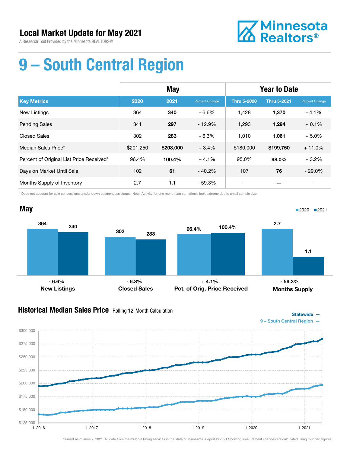A Research Tool Provided by the Minnesota REALTORS®



# 9 – South Central Region

|                                          | <b>May</b> |           |                | <b>Year to Date</b> |                    |                |
|------------------------------------------|------------|-----------|----------------|---------------------|--------------------|----------------|
| <b>Key Metrics</b>                       | 2020       | 2021      | Percent Change | <b>Thru 5-2020</b>  | <b>Thru 5-2021</b> | Percent Change |
| <b>New Listings</b>                      | 364        | 340       | $-6.6%$        | 1,428               | 1,370              | $-4.1%$        |
| <b>Pending Sales</b>                     | 341        | 297       | $-12.9%$       | 1,293               | 1,294              | $+0.1%$        |
| <b>Closed Sales</b>                      | 302        | 283       | $-6.3%$        | 1.010               | 1,061              | $+5.0%$        |
| Median Sales Price*                      | \$201,250  | \$208,000 | $+3.4%$        | \$180,000           | \$199,750          | $+11.0%$       |
| Percent of Original List Price Received* | 96.4%      | 100.4%    | $+4.1%$        | 95.0%               | 98.0%              | $+3.2%$        |
| Days on Market Until Sale                | 102        | 61        | $-40.2\%$      | 107                 | 76                 | $-29.0\%$      |
| Months Supply of Inventory               | 2.7        | 1.1       | - 59.3%        |                     |                    |                |

\* Does not account for sale concessions and/or down payment assistance. Note: Activity for one month can sometimes look extreme due to small sample size.



### Historical Median Sales Price Rolling 12-Month Calculation

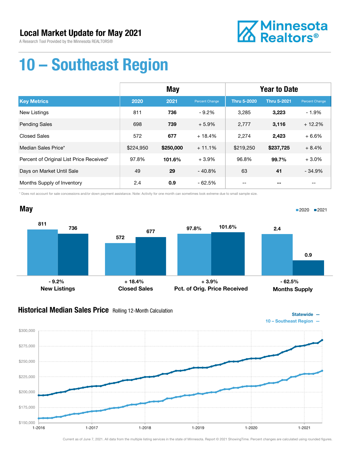A Research Tool Provided by the Minnesota REALTORS®



## 10 – Southeast Region

|                                          | <b>May</b> |           |                | <b>Year to Date</b> |                    |                |
|------------------------------------------|------------|-----------|----------------|---------------------|--------------------|----------------|
| <b>Key Metrics</b>                       | 2020       | 2021      | Percent Change | <b>Thru 5-2020</b>  | <b>Thru 5-2021</b> | Percent Change |
| <b>New Listings</b>                      | 811        | 736       | $-9.2%$        | 3,285               | 3,223              | $-1.9%$        |
| <b>Pending Sales</b>                     | 698        | 739       | $+5.9%$        | 2,777               | 3,116              | $+12.2%$       |
| <b>Closed Sales</b>                      | 572        | 677       | $+18.4%$       | 2,274               | 2,423              | $+6.6%$        |
| Median Sales Price*                      | \$224,950  | \$250,000 | $+11.1%$       | \$219,250           | \$237,725          | $+8.4%$        |
| Percent of Original List Price Received* | 97.8%      | 101.6%    | $+3.9%$        | 96.8%               | 99.7%              | $+3.0%$        |
| Days on Market Until Sale                | 49         | 29        | $-40.8%$       | 63                  | 41                 | $-34.9%$       |
| Months Supply of Inventory               | 2.4        | 0.9       | - 62.5%        |                     |                    |                |

\* Does not account for sale concessions and/or down payment assistance. Note: Activity for one month can sometimes look extreme due to small sample size.



#### Historical Median Sales Price Rolling 12-Month Calculation

 $$150,000$  - 1-2016

\$175,000

\$200,000

\$225,000

\$250,000

\$275,000

\$300,000





Current as of June 7, 2021. All data from the multiple listing services in the state of Minnesota. Report © 2021 ShowingTime. Percent changes are calculated using rounded figures.

1-2016 1-2017 1-2018 1-2019 1-2020 1-2021